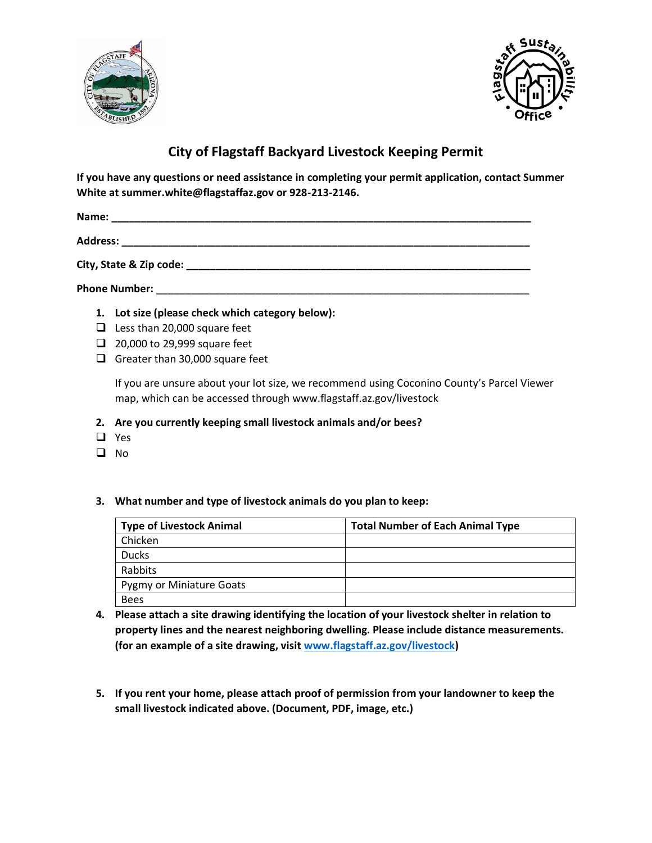



## **City of Flagstaff Backyard Livestock Keeping Permit**

If you have any questions or need assistance in completing your permit application, contact Summer White at summer.white@flagstaffaz.gov or 928-213-2146.

Address: the contract of the contract of the contract of the contract of the contract of the contract of the contract of the contract of the contract of the contract of the contract of the contract of the contract of the c

City, State & Zip code: National City, State & Zip code:

**Phone Number:** 

- 1. Lot size (please check which category below):
- $\Box$  Less than 20,000 square feet
- 20,000 to 29,999 square feet
- Greater than 30,000 square feet

If you are unsure about your lot size, we recommend using Coconino County's Parcel Viewer map, which can be accessed through www.flagstaff.az.gov/livestock

- 2. Are you currently keeping small livestock animals and/or bees?
- $\Box$  Yes
- $\Box$  No
- 3. What number and type of livestock animals do you plan to keep:

| <b>Type of Livestock Animal</b> | <b>Total Number of Each Animal Type</b> |
|---------------------------------|-----------------------------------------|
| Chicken                         |                                         |
| <b>Ducks</b>                    |                                         |
| Rabbits                         |                                         |
| <b>Pygmy or Miniature Goats</b> |                                         |
| <b>Bees</b>                     |                                         |

- 4. Please attach a site drawing identifying the location of your livestock shelter in relation to property lines and the nearest neighboring dwelling. Please include distance measurements. (for an example of a site drawing, visit www.flagstaff.az.gov/livestock)
- 5. If you rent your home, please attach proof of permission from your landowner to keep the small livestock indicated above. (Document, PDF, image, etc.)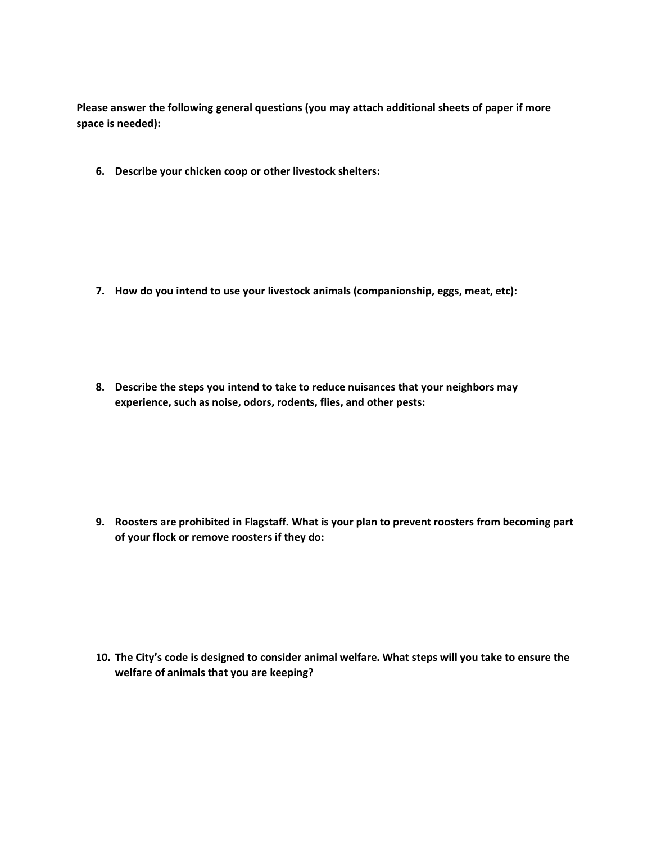Please answer the following general questions (you may attach additional sheets of paper if more space is needed):

6. Describe your chicken coop or other livestock shelters:

- 7. How do you intend to use your livestock animals (companionship, eggs, meat, etc):
- 8. Describe the steps you intend to take to reduce nuisances that your neighbors may experience, such as noise, odors, rodents, flies, and other pests:

9. Roosters are prohibited in Flagstaff. What is your plan to prevent roosters from becoming part of your flock or remove roosters if they do:

10. The City's code is designed to consider animal welfare. What steps will you take to ensure the welfare of animals that you are keeping?